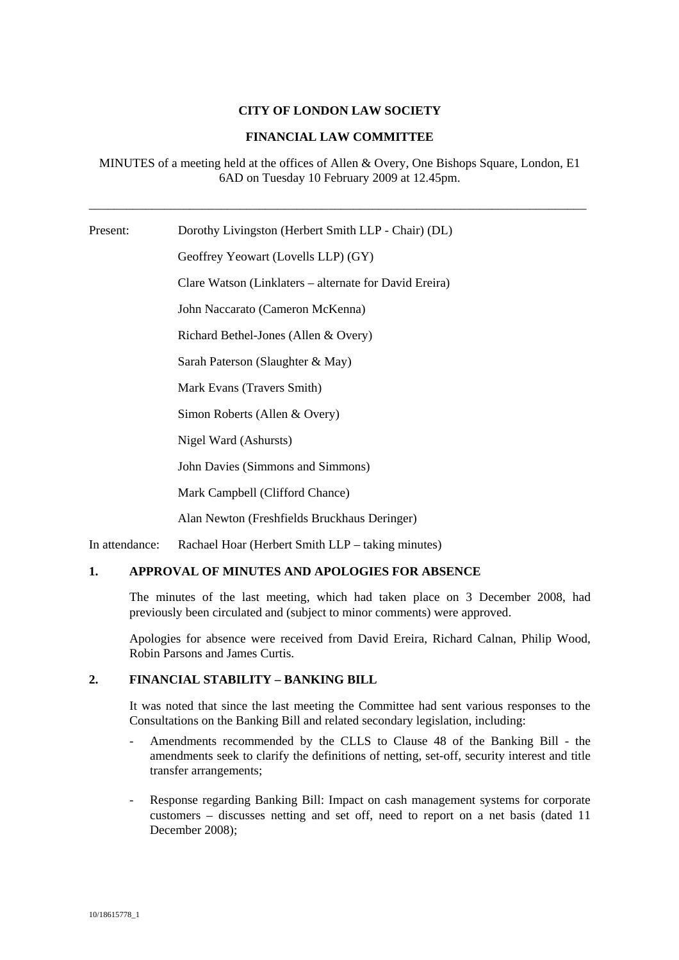## **CITY OF LONDON LAW SOCIETY**

## **FINANCIAL LAW COMMITTEE**

MINUTES of a meeting held at the offices of Allen & Overy, One Bishops Square, London, E1 6AD on Tuesday 10 February 2009 at 12.45pm.

\_\_\_\_\_\_\_\_\_\_\_\_\_\_\_\_\_\_\_\_\_\_\_\_\_\_\_\_\_\_\_\_\_\_\_\_\_\_\_\_\_\_\_\_\_\_\_\_\_\_\_\_\_\_\_\_\_\_\_\_\_\_\_\_\_\_\_\_\_\_\_\_\_\_\_\_\_\_\_

Present: Dorothy Livingston (Herbert Smith LLP - Chair) (DL) Geoffrey Yeowart (Lovells LLP) (GY) Clare Watson (Linklaters – alternate for David Ereira) John Naccarato (Cameron McKenna) Richard Bethel-Jones (Allen & Overy) Sarah Paterson (Slaughter & May) Mark Evans (Travers Smith) Simon Roberts (Allen & Overy)

Nigel Ward (Ashursts)

John Davies (Simmons and Simmons)

Mark Campbell (Clifford Chance)

Alan Newton (Freshfields Bruckhaus Deringer)

In attendance: Rachael Hoar (Herbert Smith LLP – taking minutes)

## **1. APPROVAL OF MINUTES AND APOLOGIES FOR ABSENCE**

The minutes of the last meeting, which had taken place on 3 December 2008, had previously been circulated and (subject to minor comments) were approved.

Apologies for absence were received from David Ereira, Richard Calnan, Philip Wood, Robin Parsons and James Curtis.

## **2. FINANCIAL STABILITY – BANKING BILL**

It was noted that since the last meeting the Committee had sent various responses to the Consultations on the Banking Bill and related secondary legislation, including:

- Amendments recommended by the CLLS to Clause 48 of the Banking Bill the amendments seek to clarify the definitions of netting, set-off, security interest and title transfer arrangements;
- Response regarding Banking Bill: Impact on cash management systems for corporate customers – discusses netting and set off, need to report on a net basis (dated 11 December 2008);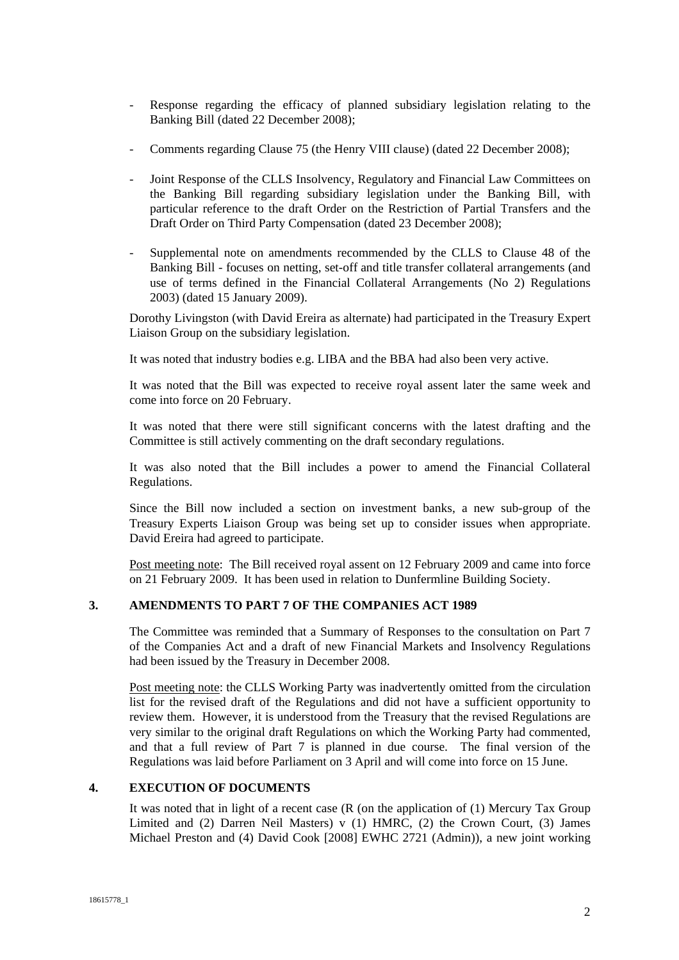- Response regarding the efficacy of planned subsidiary legislation relating to the Banking Bill (dated 22 December 2008);
- Comments regarding Clause 75 (the Henry VIII clause) (dated 22 December 2008);
- Joint Response of the CLLS Insolvency, Regulatory and Financial Law Committees on the Banking Bill regarding subsidiary legislation under the Banking Bill, with particular reference to the draft Order on the Restriction of Partial Transfers and the Draft Order on Third Party Compensation (dated 23 December 2008);
- Supplemental note on amendments recommended by the CLLS to Clause 48 of the Banking Bill - focuses on netting, set-off and title transfer collateral arrangements (and use of terms defined in the Financial Collateral Arrangements (No 2) Regulations 2003) (dated 15 January 2009).

Dorothy Livingston (with David Ereira as alternate) had participated in the Treasury Expert Liaison Group on the subsidiary legislation.

It was noted that industry bodies e.g. LIBA and the BBA had also been very active.

It was noted that the Bill was expected to receive royal assent later the same week and come into force on 20 February.

It was noted that there were still significant concerns with the latest drafting and the Committee is still actively commenting on the draft secondary regulations.

It was also noted that the Bill includes a power to amend the Financial Collateral Regulations.

Since the Bill now included a section on investment banks, a new sub-group of the Treasury Experts Liaison Group was being set up to consider issues when appropriate. David Ereira had agreed to participate.

Post meeting note: The Bill received royal assent on 12 February 2009 and came into force on 21 February 2009. It has been used in relation to Dunfermline Building Society.

# **3. AMENDMENTS TO PART 7 OF THE COMPANIES ACT 1989**

The Committee was reminded that a Summary of Responses to the consultation on Part 7 of the Companies Act and a draft of new Financial Markets and Insolvency Regulations had been issued by the Treasury in December 2008.

Post meeting note: the CLLS Working Party was inadvertently omitted from the circulation list for the revised draft of the Regulations and did not have a sufficient opportunity to review them. However, it is understood from the Treasury that the revised Regulations are very similar to the original draft Regulations on which the Working Party had commented, and that a full review of Part 7 is planned in due course. The final version of the Regulations was laid before Parliament on 3 April and will come into force on 15 June.

## **4. EXECUTION OF DOCUMENTS**

It was noted that in light of a recent case (R (on the application of (1) Mercury Tax Group Limited and (2) Darren Neil Masters) v (1) HMRC, (2) the Crown Court, (3) James Michael Preston and (4) David Cook [2008] EWHC 2721 (Admin)), a new joint working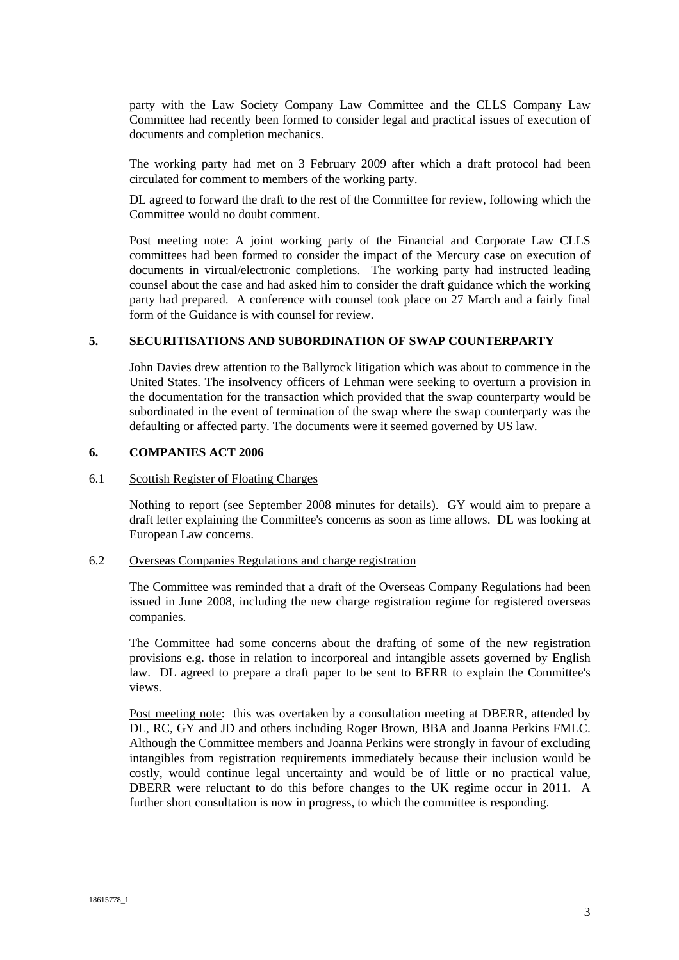party with the Law Society Company Law Committee and the CLLS Company Law Committee had recently been formed to consider legal and practical issues of execution of documents and completion mechanics.

The working party had met on 3 February 2009 after which a draft protocol had been circulated for comment to members of the working party.

DL agreed to forward the draft to the rest of the Committee for review, following which the Committee would no doubt comment.

Post meeting note: A joint working party of the Financial and Corporate Law CLLS committees had been formed to consider the impact of the Mercury case on execution of documents in virtual/electronic completions. The working party had instructed leading counsel about the case and had asked him to consider the draft guidance which the working party had prepared. A conference with counsel took place on 27 March and a fairly final form of the Guidance is with counsel for review.

### **5. SECURITISATIONS AND SUBORDINATION OF SWAP COUNTERPARTY**

John Davies drew attention to the Ballyrock litigation which was about to commence in the United States. The insolvency officers of Lehman were seeking to overturn a provision in the documentation for the transaction which provided that the swap counterparty would be subordinated in the event of termination of the swap where the swap counterparty was the defaulting or affected party. The documents were it seemed governed by US law.

#### **6. COMPANIES ACT 2006**

#### 6.1 Scottish Register of Floating Charges

Nothing to report (see September 2008 minutes for details). GY would aim to prepare a draft letter explaining the Committee's concerns as soon as time allows. DL was looking at European Law concerns.

### 6.2 Overseas Companies Regulations and charge registration

The Committee was reminded that a draft of the Overseas Company Regulations had been issued in June 2008, including the new charge registration regime for registered overseas companies.

The Committee had some concerns about the drafting of some of the new registration provisions e.g. those in relation to incorporeal and intangible assets governed by English law. DL agreed to prepare a draft paper to be sent to BERR to explain the Committee's views.

Post meeting note: this was overtaken by a consultation meeting at DBERR, attended by DL, RC, GY and JD and others including Roger Brown, BBA and Joanna Perkins FMLC. Although the Committee members and Joanna Perkins were strongly in favour of excluding intangibles from registration requirements immediately because their inclusion would be costly, would continue legal uncertainty and would be of little or no practical value, DBERR were reluctant to do this before changes to the UK regime occur in 2011. A further short consultation is now in progress, to which the committee is responding.